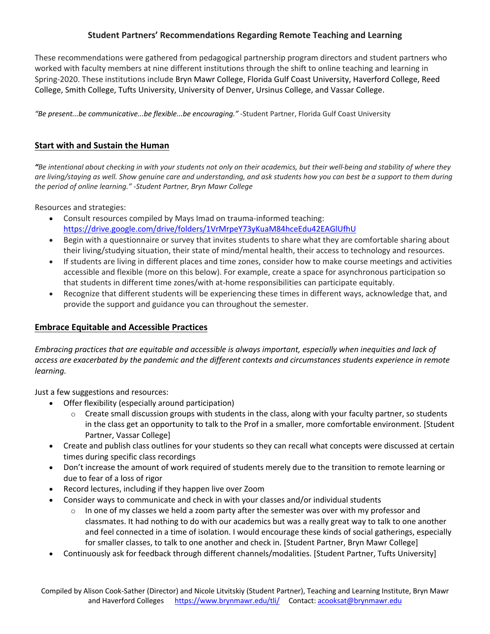### **Student Partners' Recommendations Regarding Remote Teaching and Learning**

These recommendations were gathered from pedagogical partnership program directors and student partners who worked with faculty members at nine different institutions through the shift to online teaching and learning in Spring-2020. These institutions include Bryn Mawr College, Florida Gulf Coast University, Haverford College, Reed College, Smith College, Tufts University, University of Denver, Ursinus College, and Vassar College.

*"Be present...be communicative...be flexible...be encouraging."* -Student Partner, Florida Gulf Coast University

### **Start with and Sustain the Human**

*"Be intentional about checking in with your students not only on their academics, but their well-being and stability of where they are living/staying as well. Show genuine care and understanding, and ask students how you can best be a support to them during the period of online learning." -Student Partner, Bryn Mawr College*

Resources and strategies:

- Consult resources compiled by Mays Imad on trauma-informed teaching: https://drive.google.com/drive/folders/1VrMrpeY73yKuaM84hceEdu42EAGlUfhU
- Begin with a questionnaire or survey that invites students to share what they are comfortable sharing about their living/studying situation, their state of mind/mental health, their access to technology and resources.
- If students are living in different places and time zones, consider how to make course meetings and activities accessible and flexible (more on this below). For example, create a space for asynchronous participation so that students in different time zones/with at-home responsibilities can participate equitably.
- Recognize that different students will be experiencing these times in different ways, acknowledge that, and provide the support and guidance you can throughout the semester.

#### **Embrace Equitable and Accessible Practices**

*Embracing practices that are equitable and accessible is always important, especially when inequities and lack of access are exacerbated by the pandemic and the different contexts and circumstances students experience in remote learning.*

Just a few suggestions and resources:

- Offer flexibility (especially around participation)
	- Create small discussion groups with students in the class, along with your faculty partner, so students in the class get an opportunity to talk to the Prof in a smaller, more comfortable environment. [Student Partner, Vassar College]
- Create and publish class outlines for your students so they can recall what concepts were discussed at certain times during specific class recordings
- Don't increase the amount of work required of students merely due to the transition to remote learning or due to fear of a loss of rigor
- Record lectures, including if they happen live over Zoom
- Consider ways to communicate and check in with your classes and/or individual students
	- $\circ$  In one of my classes we held a zoom party after the semester was over with my professor and classmates. It had nothing to do with our academics but was a really great way to talk to one another and feel connected in a time of isolation. I would encourage these kinds of social gatherings, especially for smaller classes, to talk to one another and check in. [Student Partner, Bryn Mawr College]
- Continuously ask for feedback through different channels/modalities. [Student Partner, Tufts University]